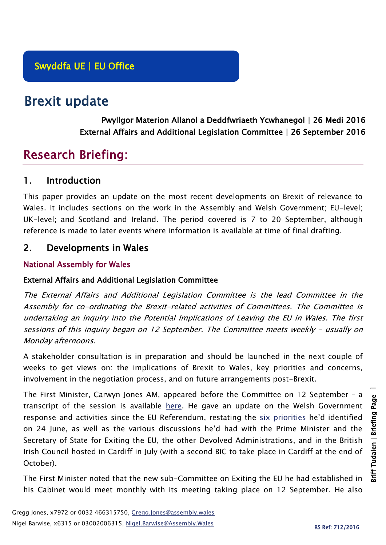# Brexit update

Pwyllgor Materion Allanol a Deddfwriaeth Ycwhanegol | 26 Medi 2016 External Affairs and Additional Legislation Committee | 26 September 2016

## Research Briefing:

## 1. Introduction

This paper provides an update on the most recent developments on Brexit of relevance to Wales. It includes sections on the work in the Assembly and Welsh Government; EU-level; UK-level; and Scotland and Ireland. The period covered is 7 to 20 September, although reference is made to later events where information is available at time of final drafting.

## 2. Developments in Wales

#### National Assembly for Wales

#### External Affairs and Additional Legislation Committee

The External Affairs and Additional Legislation Committee is the lead Committee in the Assembly for co-ordinating the Brexit-related activities of Committees. The Committee is undertaking an inquiry into the Potential Implications of Leaving the EU in Wales. The first sessions of this inquiry began on 12 September. The Committee meets weekly – usually on Monday afternoons.

A stakeholder consultation is in preparation and should be launched in the next couple of weeks to get views on: the implications of Brexit to Wales, key priorities and concerns, involvement in the negotiation process, and on future arrangements post-Brexit.

The First Minister, Carwyn Jones AM, appeared before the Committee on 12 September – a transcript of the session is available [here.](http://www.senedd.assembly.wales/mgIssueHistoryHome.aspx?IId=15161) He gave an update on the Welsh Government response and activities since the EU Referendum, restating the [six priorities](http://gov.wales/newsroom/firstminister/2016/160624-eu-referendum/?lang=en) he'd identified on 24 June, as well as the various discussions he'd had with the Prime Minister and the Secretary of State for Exiting the EU, the other Devolved Administrations, and in the British Irish Council hosted in Cardiff in July (with a second BIC to take place in Cardiff at the end of October).

The First Minister noted that the new sub-Committee on Exiting the EU he had established in his Cabinet would meet monthly with its meeting taking place on 12 September. He also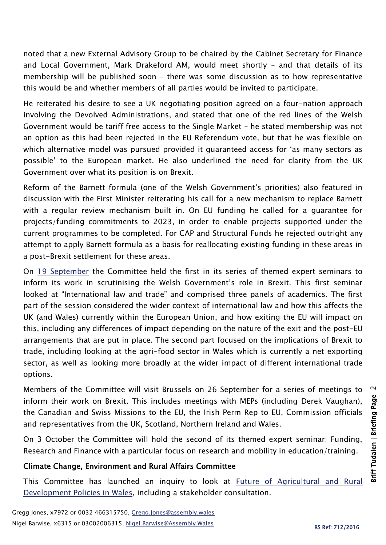noted that a new External Advisory Group to be chaired by the Cabinet Secretary for Finance and Local Government, Mark Drakeford AM, would meet shortly – and that details of its membership will be published soon – there was some discussion as to how representative this would be and whether members of all parties would be invited to participate.

He reiterated his desire to see a UK negotiating position agreed on a four-nation approach involving the Devolved Administrations, and stated that one of the red lines of the Welsh Government would be tariff free access to the Single Market – he stated membership was not an option as this had been rejected in the EU Referendum vote, but that he was flexible on which alternative model was pursued provided it guaranteed access for 'as many sectors as possible' to the European market. He also underlined the need for clarity from the UK Government over what its position is on Brexit.

Reform of the Barnett formula (one of the Welsh Government's priorities) also featured in discussion with the First Minister reiterating his call for a new mechanism to replace Barnett with a regular review mechanism built in. On EU funding he called for a guarantee for projects/funding commitments to 2023, in order to enable projects supported under the current programmes to be completed. For CAP and Structural Funds he rejected outright any attempt to apply Barnett formula as a basis for reallocating existing funding in these areas in a post-Brexit settlement for these areas.

On [19 September](http://www.senedd.assembly.wales/ieListDocuments.aspx?CId=449&MId=3714&Ver=4) the Committee held the first in its series of themed expert seminars to inform its work in scrutinising the Welsh Government's role in Brexit. This first seminar looked at "International law and trade" and comprised three panels of academics. The first part of the session considered the wider context of international law and how this affects the UK (and Wales) currently within the European Union, and how exiting the EU will impact on this, including any differences of impact depending on the nature of the exit and the post-EU arrangements that are put in place. The second part focused on the implications of Brexit to trade, including looking at the agri-food sector in Wales which is currently a net exporting sector, as well as looking more broadly at the wider impact of different international trade options.

Members of the Committee will visit Brussels on 26 September for a series of meetings to inform their work on Brexit. This includes meetings with MEPs (including Derek Vaughan), the Canadian and Swiss Missions to the EU, the Irish Perm Rep to EU, Commission officials and representatives from the UK, Scotland, Northern Ireland and Wales.

On 3 October the Committee will hold the second of its themed expert seminar: Funding, Research and Finance with a particular focus on research and mobility in education/training.

#### Climate Change, Environment and Rural Affairs Committee

This Committee has launched an inquiry to look at [Future of Agricultural and Rural](http://www.senedd.assembly.wales/mgIssueHistoryHome.aspx?IId=15876)  [Development Policies in Wales,](http://www.senedd.assembly.wales/mgIssueHistoryHome.aspx?IId=15876) including a stakeholder consultation.

 $\sim$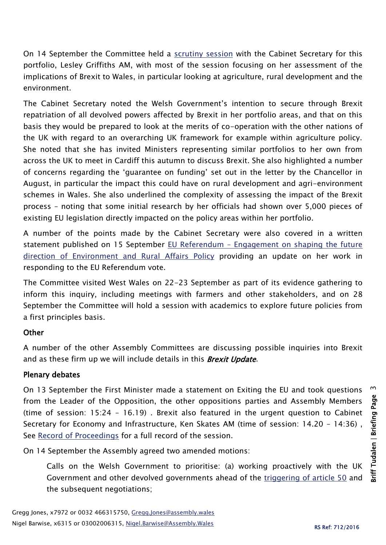On 14 September the Committee held a [scrutiny session](http://www.senedd.assembly.wales/ieListDocuments.aspx?CId=444&MId=3704&Ver=4) with the Cabinet Secretary for this portfolio, Lesley Griffiths AM, with most of the session focusing on her assessment of the implications of Brexit to Wales, in particular looking at agriculture, rural development and the environment.

The Cabinet Secretary noted the Welsh Government's intention to secure through Brexit repatriation of all devolved powers affected by Brexit in her portfolio areas, and that on this basis they would be prepared to look at the merits of co-operation with the other nations of the UK with regard to an overarching UK framework for example within agriculture policy. She noted that she has invited Ministers representing similar portfolios to her own from across the UK to meet in Cardiff this autumn to discuss Brexit. She also highlighted a number of concerns regarding the 'guarantee on funding' set out in the letter by the Chancellor in August, in particular the impact this could have on rural development and agri-environment schemes in Wales. She also underlined the complexity of assessing the impact of the Brexit process – noting that some initial research by her officials had shown over 5,000 pieces of existing EU legislation directly impacted on the policy areas within her portfolio.

A number of the points made by the Cabinet Secretary were also covered in a written statement published on 15 September EU Referendum – [Engagement on shaping the future](http://gov.wales/about/cabinet/cabinetstatements/2016-new/eureferendumruralaffairs/?lang=en)  [direction of Environment and Rural Affairs Policy](http://gov.wales/about/cabinet/cabinetstatements/2016-new/eureferendumruralaffairs/?lang=en) providing an update on her work in responding to the EU Referendum vote.

The Committee visited West Wales on 22-23 September as part of its evidence gathering to inform this inquiry, including meetings with farmers and other stakeholders, and on 28 September the Committee will hold a session with academics to explore future policies from a first principles basis.

#### **Other**

A number of the other Assembly Committees are discussing possible inquiries into Brexit and as these firm up we will include details in this **Brexit Update**.

#### Plenary debates

On 13 September the First Minister made a statement on Exiting the EU and took questions from the Leader of the Opposition, the other oppositions parties and Assembly Members (time of session: 15:24 – 16.19) . Brexit also featured in the urgent question to Cabinet Secretary for Economy and Infrastructure, Ken Skates AM (time of session: 14.20 – 14:36) , See [Record of Proceedings](http://www.assembly.wales/en/bus-home/pages/rop.aspx?meetingid=3696&assembly=5&c=Record%20of%20Proceedings&startDt=13/09/2016&endDt=13/09/2016&keyword=Brexit#422628) for a full record of the session.

On 14 September the Assembly agreed two amended motions:

Calls on the Welsh Government to prioritise: (a) working proactively with the UK Government and other devolved governments ahead of the [triggering of article 50](http://www.assembly.wales/en/bus-home/pages/rop.aspx?meetingid=3989&assembly=5&c=Record%20of%20Proceedings#423281) and the subsequent negotiations;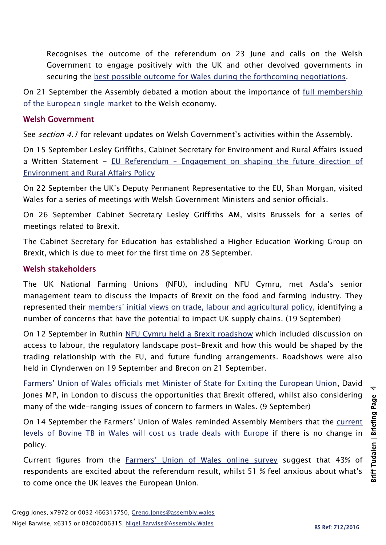Recognises the outcome of the referendum on 23 June and calls on the Welsh Government to engage positively with the UK and other devolved governments in securing the [best possible outcome for Wales during the forthcoming negotiations.](http://www.assembly.wales/en/bus-home/pages/rop.aspx?meetingid=3989&assembly=5&c=Record%20of%20Proceedings#423493)

On 21 September the Assembly debated a motion about the importance of full membership [of the European single market](http://abms/ieListDocuments.aspx?CId=401&MId=3991&Ver=4) to the Welsh economy.

#### Welsh Government

See section 4.1 for relevant updates on Welsh Government's activities within the Assembly.

On 15 September Lesley Griffiths, Cabinet Secretary for Environment and Rural Affairs issued a Written Statement - EU Referendum – [Engagement on shaping the future direction of](http://gov.wales/about/cabinet/cabinetstatements/2016-new/eureferendumruralaffairs/?lang=en)  [Environment and Rural Affairs Policy](http://gov.wales/about/cabinet/cabinetstatements/2016-new/eureferendumruralaffairs/?lang=en) 

On 22 September the UK's Deputy Permanent Representative to the EU, Shan Morgan, visited Wales for a series of meetings with Welsh Government Ministers and senior officials.

On 26 September Cabinet Secretary Lesley Griffiths AM, visits Brussels for a series of meetings related to Brexit.

The Cabinet Secretary for Education has established a Higher Education Working Group on Brexit, which is due to meet for the first time on 28 September.

#### Welsh stakeholders

The UK National Farming Unions (NFU), including NFU Cymru, met Asda's senior management team to discuss the impacts of Brexit on the food and farming industry. They represented their [members' initial views on trade, labour and agricultural policy](https://www.nfu-cymru.org.uk/news/latest-news/uk-unions-meet-with-asda-senior-management/), identifying a number of concerns that have the potential to impact UK supply chains. (19 September)

On 12 September in Ruthin [NFU Cymru held a](https://www.nfu-cymru.org.uk/news/latest-news/farmers-flock-to-nfu-cymru-brexit-roadshow/) Brexit roadshow which included discussion on access to labour, the regulatory landscape post-Brexit and how this would be shaped by the trading relationship with the EU, and future funding arrangements. Roadshows were also held in Clynderwen on 19 September and Brecon on 21 September.

Farmers' Union of Wales offic[ials met Minister of State for Exiting the European Union,](http://fuw.org.uk/fuw-takes-farming-matters-and-brexit-talks-to-westminster/) David Jones MP, in London to discuss the opportunities that Brexit offered, whilst also considering many of the wide-ranging issues of concern to farmers in Wales. (9 September)

On 14 September the Farmers' Union of Wales reminded Assembly Members that the [current](http://fuw.org.uk/bovine-tb-will-cost-us-trade-deals-with-europe-fuw-reminds-ams/)  [levels of Bovine TB in Wales will cost us trade deals with Europe](http://fuw.org.uk/bovine-tb-will-cost-us-trade-deals-with-europe-fuw-reminds-ams/) if there is no change in policy.

Current figures from the [Farmers' Union of Wales online survey](http://fuw.org.uk/there-is-still-time-to-tell-us-what-matters-to-you-post-brexit-fuw-says/) suggest that 43% of respondents are excited about the referendum result, whilst 51 % feel anxious about what's to come once the UK leaves the European Union.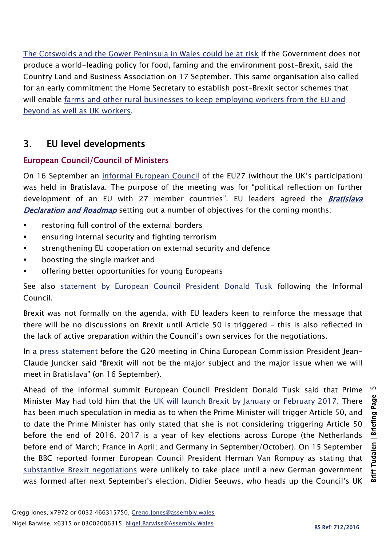[The Cotswolds and the Gower Peninsula in Wales could be at risk](http://www.cla.org.uk/latest/lobbying/brexit-new-opportunities/post-brexit-policy-must-safeguard-our-beauty-spots-says-cla) if the Government does not produce a world-leading policy for food, faming and the environment post-Brexit, said the Country Land and Business Association on 17 September. This same organisation also called for an early commitment the Home Secretary to establish post-Brexit sector schemes that will enable [farms and other rural businesses to keep employing workers from the EU and](http://www.cla.org.uk/latest/lobbying/brexit-new-opportunities/cla-farms-and-rural-businesses-need-certainty-home-secretary-post-brexit-schemes-overseas-workers)  [beyond as well as UK workers.](http://www.cla.org.uk/latest/lobbying/brexit-new-opportunities/cla-farms-and-rural-businesses-need-certainty-home-secretary-post-brexit-schemes-overseas-workers)

## 3. EU level developments

#### European Council/Council of Ministers

On 16 September an [informal European Council](http://www.consilium.europa.eu/en/meetings/european-council/2016/09/16-informal-meeting/) of the EU27 (without the UK's participation) was held in Bratislava. The purpose of the meeting was for "political reflection on further development of an EU with 27 member countries". EU leaders agreed the **Bratislava** [Declaration and Roadmap](http://www.consilium.europa.eu/en/press/press-releases/2016/09/pdf/160916-Bratislava-declaration-and-roadmap_en16_pdf/) setting out a number of objectives for the coming months:

- restoring full control of the external borders
- ensuring internal security and fighting terrorism
- strengthening EU cooperation on external security and defence
- boosting the single market and
- offering better opportunities for young Europeans

See also [statement by European Council President Donald Tusk](http://www.consilium.europa.eu/en/press/press-releases/2016/09/16-tusk-final-remarks-bratislava/) following the Informal Council.

Brexit was not formally on the agenda, with EU leaders keen to reinforce the message that there will be no discussions on Brexit until Article 50 is triggered – this is also reflected in the lack of active preparation within the Council's own services for the negotiations.

In a [press statement](http://europa.eu/rapid/press-release_SPEECH-16-2946_en.htm) before the G20 meeting in China European Commission President Jean-Claude Juncker said "Brexit will not be the major subject and the major issue when we will meet in Bratislava" (on 16 September).

 $\overline{5}$ Ahead of the informal summit European Council President Donald Tusk said that Prime Minister May had told him that the [UK will launch Brexit by January or February 2017.](http://www.politico.eu/article/tusk-uk-to-launch-brexit-by-january-or-february/) There has been much speculation in media as to when the Prime Minister will trigger Article 50, and to date the Prime Minister has only stated that she is not considering triggering Article 50 before the end of 2016. 2017 is a year of key elections across Europe (the Netherlands before end of March; France in April; and Germany in September/October). On 15 September the BBC reported former European Council President Herman Van Rompuy as stating that [substantive Brexit negotiations](http://www.bbc.co.uk/news/uk-37369917) were unlikely to take place until a new German government was formed after next September's election. Didier Seeuws, who heads up the Council's UK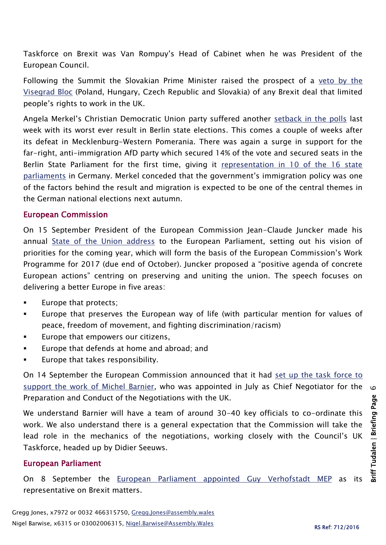Taskforce on Brexit was Van Rompuy's Head of Cabinet when he was President of the European Council.

Following the Summit the Slovakian Prime Minister raised the prospect of a veto by the [Visegrad Bloc](http://www.bbc.co.uk/news/world-europe-37396805) (Poland, Hungary, Czech Republic and Slovakia) of any Brexit deal that limited people's rights to work in the UK.

Angela Merkel's Christian Democratic Union party suffered another [setback in the polls](http://www.telegraph.co.uk/news/2016/09/18/merkel-damaged-as-german-far-right-surges-in-berlin-elections/) last week with its worst ever result in Berlin state elections. This comes a couple of weeks after its defeat in Mecklenburg-Western Pomerania. There was again a surge in support for the far-right, anti-immigration AfD party which secured 14% of the vote and secured seats in the Berlin State Parliament for the first time, giving it [representation in 10 of the 16 state](http://www.bbc.co.uk/news/world-europe-37403542)  [parliaments](http://www.bbc.co.uk/news/world-europe-37403542) in Germany. Merkel conceded that the government's immigration policy was one of the factors behind the result and migration is expected to be one of the central themes in the German national elections next autumn.

#### European Commission

On 15 September President of the European Commission Jean-Claude Juncker made his annual [State of the Union address](http://europa.eu/rapid/press-release_SPEECH-16-3043_en.htm) to the European Parliament, setting out his vision of priorities for the coming year, which will form the basis of the European Commission's Work Programme for 2017 (due end of October). Juncker proposed a "positive agenda of concrete European actions" centring on preserving and uniting the union. The speech focuses on delivering a better Europe in five areas:

- Europe that protects;
- Europe that preserves the European way of life (with particular mention for values of peace, freedom of movement, and fighting discrimination/racism)
- Europe that empowers our citizens,
- Europe that defends at home and abroad; and
- Europe that takes responsibility.

On 14 September the European Commission announced that it had set up the [task force to](http://europa.eu/rapid/press-release_IP-16-3016_en.htm)  [support the work of](http://europa.eu/rapid/press-release_IP-16-3016_en.htm) Michel Barnier, who was appointed in July as Chief Negotiator for the Preparation and Conduct of the Negotiations with the UK.

We understand Barnier will have a team of around 30-40 key officials to co-ordinate this work. We also understand there is a general expectation that the Commission will take the lead role in the mechanics of the negotiations, working closely with the Council's UK Taskforce, headed up by Didier Seeuws.

#### European Parliament

On 8 September the [European Parliament appointed](http://www.europarl.europa.eu/news/en/news-room/20160908IPR41661/parliament-appoints-guy-verhofstadt-as-representative-on-brexit-matters) Guy Verhofstadt MEP as its representative on Brexit matters.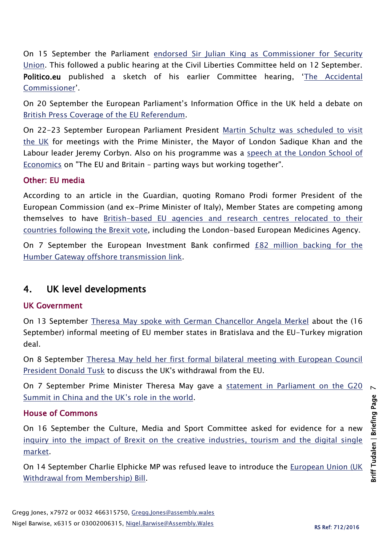On 15 September the Parliament [endorsed Sir Julian King as Commissioner for Security](http://www.europarl.europa.eu/news/en/news-room/20160909IPR41739/parliament-endorses-sir-julian-king-as-commissioner-for-security-union)  [Union.](http://www.europarl.europa.eu/news/en/news-room/20160909IPR41739/parliament-endorses-sir-julian-king-as-commissioner-for-security-union) This followed a public hearing at the Civil Liberties Committee held on 12 September. Politico.eu published a sketch of his earlier Committee hearing, 'The Accidental [Commissioner](http://www.politico.eu/article/julian-king-eu-commissioner-security-terrorism/)'.

On 20 September the European Parliament's Information Office in the UK held a debate on [British Press Coverage of the](http://www.europarl.org.uk/en/uk-events/forthcomingevents/presscoverageref.html) EU Referendum.

On 22-23 September European Parliament President [Martin Schultz was scheduled to visit](http://www.europarl.europa.eu/news/en/news-room/agenda/2016-W38-By-Day#presidentdiary-21-09-2016)  [the UK](http://www.europarl.europa.eu/news/en/news-room/agenda/2016-W38-By-Day#presidentdiary-21-09-2016) for meetings with the Prime Minister, the Mayor of London Sadique Khan and the Labour leader Jeremy Corbyn. Also on his programme was a [speech at the London School of](http://www.lse.ac.uk/publicEvents/events/2016/09/20160923t1330vOT.aspx)  [Economics](http://www.lse.ac.uk/publicEvents/events/2016/09/20160923t1330vOT.aspx) on "The EU and Britain – parting ways but working together".

#### Other: EU media

According to an article in the Guardian, quoting Romano Prodi former President of the European Commission (and ex-Prime Minister of Italy), Member States are competing among themselves to have [British-based EU agencies and research centres relocated to their](https://www.theguardian.com/world/2016/sep/17/eu-countries-rush-steal-uk-based-research-projects?CMP=twt_gu)  [countries following the Brexit vote,](https://www.theguardian.com/world/2016/sep/17/eu-countries-rush-steal-uk-based-research-projects?CMP=twt_gu) including the London-based European Medicines Agency.

On 7 September the European Investment Bank confirmed [£82 million backing for the](http://www.eib.org/infocentre/press/releases/all/2016/2016-198-european-investment-bank-confirms-gbp-82-million-backing-for-humber-gateway-offshore-transmission-link.htm)  [Humber Gateway offshore transmission link.](http://www.eib.org/infocentre/press/releases/all/2016/2016-198-european-investment-bank-confirms-gbp-82-million-backing-for-humber-gateway-offshore-transmission-link.htm)

## 4. UK level developments

#### UK Government

On 13 September [Theresa May spoke with German Chancellor Angela Merkel](https://www.gov.uk/government/news/pm-phone-call-with-chancellor-merkel-13-september-2016) about the (16 September) informal meeting of EU member states in Bratislava and the EU-Turkey migration deal.

On 8 September [Theresa May held her first formal bilateral meeting with European Council](https://www.gov.uk/government/news/pm-meeting-with-donald-tusk-8-september-2016)  [President Donald Tusk](https://www.gov.uk/government/news/pm-meeting-with-donald-tusk-8-september-2016) to discuss the UK's withdrawal from the EU.

On 7 September Prime Minister Theresa May gave a statement in Parliament on the G20 [Summit in China and the UK's role in the world](https://www.gov.uk/government/speeches/g20-summit-pm-commons-statement-7-september-2016).

#### House of Commons

On 16 September the Culture, Media and Sport Committee asked for evidence for a new [inquiry into the impact of Brexit on the creative industries, tourism and the digital single](http://www.parliament.uk/business/committees/committees-a-z/commons-select/culture-media-and-sport-committee/news-parliament-2015/brexit-impact-launch-16-17/)  [market.](http://www.parliament.uk/business/committees/committees-a-z/commons-select/culture-media-and-sport-committee/news-parliament-2015/brexit-impact-launch-16-17/)

On 14 September Charlie Elphicke MP was refused leave to introduce the [European Union \(UK](http://hansard.parliament.uk/commons/2016-09-14/debates/16091433000003/EuropeanUnion(UKWithdrawalFromMembership))  [Withdrawal from Membership\) Bill.](http://hansard.parliament.uk/commons/2016-09-14/debates/16091433000003/EuropeanUnion(UKWithdrawalFromMembership))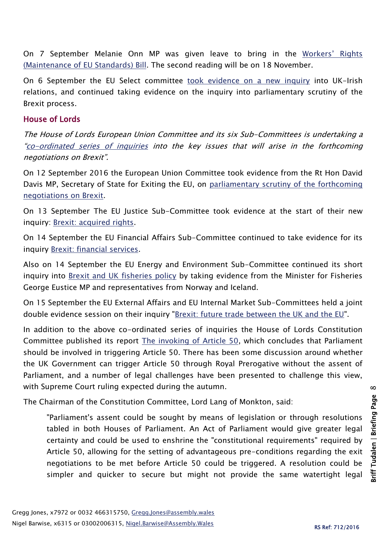On 7 September Melanie Onn MP was given leave to bring in the [Workers' Rig](http://hansard.parliament.uk/commons/2016-09-07/debates/16090723000002/Workers%E2%80%99Rights(MaintenanceOfEUStandards))hts [\(Maintenance of EU Standards\)](http://hansard.parliament.uk/commons/2016-09-07/debates/16090723000002/Workers%E2%80%99Rights(MaintenanceOfEUStandards)) Bill. The second reading will be on 18 November.

On 6 September the EU Select committee [took evidence on a new inquiry](http://www.parliament.uk/business/committees/committees-a-z/lords-select/eu-select-committee-/inquiries/parliament-2015/brexit-uk-irish-relations/) into UK-Irish relations, and continued taking evidence on the inquiry into parliamentary scrutiny of the Brexit process.

#### House of Lords

The House of Lords European Union Committee and its six Sub-Committees is undertaking a "[co-ordinated series of inquiries](http://www.parliament.uk/business/committees/committees-a-z/lords-select/eu-select-committee-/news-parliament-2015/co-ordinated-inquries-launch/) into the key issues that will arise in the forthcoming negotiations on Brexit".

On 12 September 2016 the European Union Committee took evidence from the Rt Hon David Davis MP, Secretary of State for Exiting the EU, on [parliamentary scrutiny of the forthcoming](http://www.parliament.uk/business/committees/committees-a-z/lords-select/eu-select-committee-/news-parliament-2015/brexit-minister-evidence-session/)  [negotiations on Brexit.](http://www.parliament.uk/business/committees/committees-a-z/lords-select/eu-select-committee-/news-parliament-2015/brexit-minister-evidence-session/)

On 13 September The EU Justice Sub-Committee took evidence at the start of their new inquiry: [Brexit: acquired rights.](http://www.parliament.uk/business/committees/committees-a-z/lords-select/eu-justice-subcommittee/news-parliament-2015/Brexit-Acquired-Rights/)

On 14 September the EU Financial Affairs Sub-Committee continued to take evidence for its inquiry [Brexit: financial services.](http://www.parliament.uk/business/committees/committees-a-z/lords-select/eu-financial-affairs-subcommittee/news-parliament-2015/practitioners-brexit-financial-evidence-session/)

Also on 14 September the EU Energy and Environment Sub-Committee continued its short inquiry into [Brexit and UK fisheries policy](http://www.parliament.uk/business/committees/committees-a-z/lords-select/eu-energy-environment-subcommittee/news-parliament-2015/brexit-fisheries-minister/) by taking evidence from the Minister for Fisheries George Eustice MP and representatives from Norway and Iceland.

On 15 September the EU External Affairs and EU Internal Market Sub-Committees held a joint double evidence session on their inquiry ["Brexit: future trade between the UK and the EU"](http://www.parliament.uk/business/committees/committees-a-z/lords-select/eu-external-affairs-subcommittee/news-parliament-2015/brexit-ev-session-150916/).

In addition to the above co-ordinated series of inquiries the House of Lords Constitution Committee published its report [The invoking of Article 50,](http://www.publications.parliament.uk/pa/ld201617/ldselect/ldconst/44/44.pdf) which concludes that Parliament should be involved in triggering Article 50. There has been some discussion around whether the UK Government can trigger Article 50 through Royal Prerogative without the assent of Parliament, and a number of legal challenges have been presented to challenge this view, with Supreme Court ruling expected during the autumn.

The Chairman of the Constitution Committee, Lord Lang of Monkton, said:

"Parliament's assent could be sought by means of legislation or through resolutions tabled in both Houses of Parliament. An Act of Parliament would give greater legal certainty and could be used to enshrine the "constitutional requirements" required by Article 50, allowing for the setting of advantageous pre-conditions regarding the exit negotiations to be met before Article 50 could be triggered. A resolution could be simpler and quicker to secure but might not provide the same watertight legal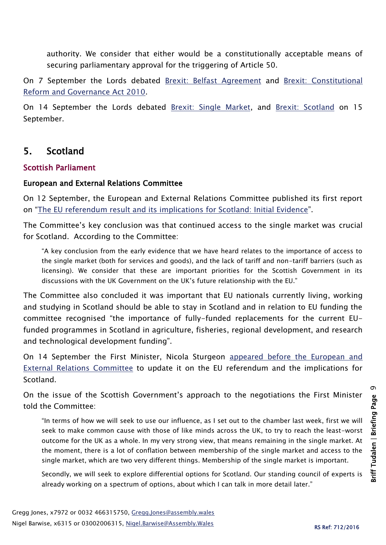authority. We consider that either would be a constitutionally acceptable means of securing parliamentary approval for the triggering of Article 50.

On 7 September the Lords debated [Brexit: Belfast Agreement](http://hansard.parliament.uk/Lords/2016-09-08/debates/16090838000303/BrexitBelfastAgreement) and Brexit: Constitutional [Reform and Governance Act 2010.](http://hansard.parliament.uk/Lords/2016-09-08/debates/16090838000306/BrexitConstitutionalReformAndGovernanceAct2010)

On 14 September the Lords debated [Brexit: Single Market,](http://hansard.parliament.uk/Lords/2016-09-14/debates/16091430000414/BrexitSingleMarket) and [Brexit: Scotland](http://hansard.parliament.uk/Lords/2016-09-15/debates/16091542000346/BrexitScotland) on 15 September.

## 5. Scotland

#### Scottish Parliament

#### European and External Relations Committee

On 12 September, the European and External Relations Committee published its first report on "[The EU referendum result and its implications for Scotland: Initial Evidence](http://www.parliament.scot/parliamentarybusiness/CurrentCommittees/100966.aspx)".

The Committee's key conclusion was that continued access to the single market was crucial for Scotland. According to the Committee:

"A key conclusion from the early evidence that we have heard relates to the importance of access to the single market (both for services and goods), and the lack of tariff and non-tariff barriers (such as licensing). We consider that these are important priorities for the Scottish Government in its discussions with the UK Government on the UK's future relationship with the EU."

The Committee also concluded it was important that EU nationals currently living, working and studying in Scotland should be able to stay in Scotland and in relation to EU funding the committee recognised "the importance of fully-funded replacements for the current EUfunded programmes in Scotland in agriculture, fisheries, regional development, and research and technological development funding".

On 14 September the First Minister, Nicola Sturgeon [appeared before the European and](http://www.parliament.scot/parliamentarybusiness/report.aspx?r=10517)  [External Relations Committee](http://www.parliament.scot/parliamentarybusiness/report.aspx?r=10517) to update it on the EU referendum and the implications for Scotland.

On the issue of the Scottish Government's approach to the negotiations the First Minister told the Committee:

"In terms of how we will seek to use our influence, as I set out to the chamber last week, first we will seek to make common cause with those of like minds across the UK, to try to reach the least-worst outcome for the UK as a whole. In my very strong view, that means remaining in the single market. At the moment, there is a lot of conflation between membership of the single market and access to the single market, which are two very different things. Membership of the single market is important.

Secondly, we will seek to explore differential options for Scotland. Our standing council of experts is already working on a spectrum of options, about which I can talk in more detail later."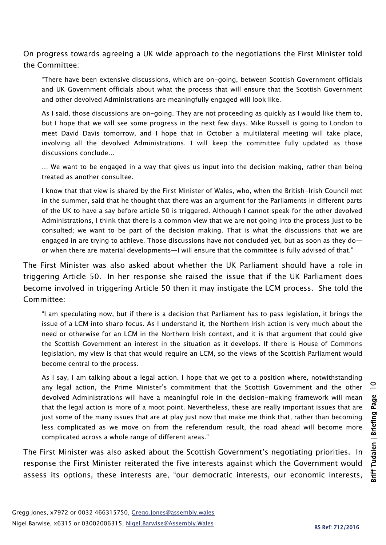On progress towards agreeing a UK wide approach to the negotiations the First Minister told the Committee:

"There have been extensive discussions, which are on-going, between Scottish Government officials and UK Government officials about what the process that will ensure that the Scottish Government and other devolved Administrations are meaningfully engaged will look like.

As I said, those discussions are on-going. They are not proceeding as quickly as I would like them to, but I hope that we will see some progress in the next few days. Mike Russell is going to London to meet David Davis tomorrow, and I hope that in October a multilateral meeting will take place, involving all the devolved Administrations. I will keep the committee fully updated as those discussions conclude...

… We want to be engaged in a way that gives us input into the decision making, rather than being treated as another consultee.

I know that that view is shared by the First Minister of Wales, who, when the British-Irish Council met in the summer, said that he thought that there was an argument for the Parliaments in different parts of the UK to have a say before article 50 is triggered. Although I cannot speak for the other devolved Administrations, I think that there is a common view that we are not going into the process just to be consulted; we want to be part of the decision making. That is what the discussions that we are engaged in are trying to achieve. Those discussions have not concluded yet, but as soon as they do or when there are material developments—I will ensure that the committee is fully advised of that."

The First Minister was also asked about whether the UK Parliament should have a role in triggering Article 50. In her response she raised the issue that if the UK Parliament does become involved in triggering Article 50 then it may instigate the LCM process. She told the Committee:

"I am speculating now, but if there is a decision that Parliament has to pass legislation, it brings the issue of a LCM into sharp focus. As I understand it, the Northern Irish action is very much about the need or otherwise for an LCM in the Northern Irish context, and it is that argument that could give the Scottish Government an interest in the situation as it develops. If there is House of Commons legislation, my view is that that would require an LCM, so the views of the Scottish Parliament would become central to the process.

As I say, I am talking about a legal action. I hope that we get to a position where, notwithstanding any legal action, the Prime Minister's commitment that the Scottish Government and the other devolved Administrations will have a meaningful role in the decision-making framework will mean that the legal action is more of a moot point. Nevertheless, these are really important issues that are just some of the many issues that are at play just now that make me think that, rather than becoming less complicated as we move on from the referendum result, the road ahead will become more complicated across a whole range of different areas."

The First Minister was also asked about the Scottish Government's negotiating priorities. In response the First Minister reiterated the five interests against which the Government would assess its options, these interests are, "our democratic interests, our economic interests,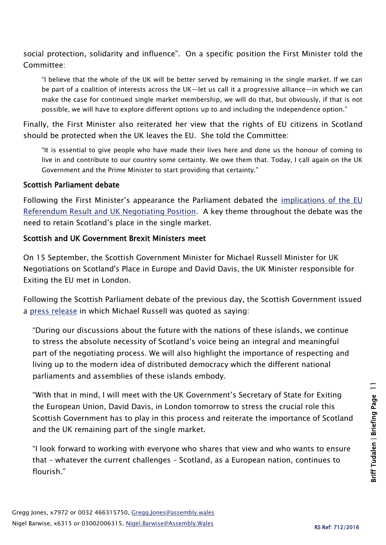social protection, solidarity and influence". On a specific position the First Minister told the Committee:

"I believe that the whole of the UK will be better served by remaining in the single market. If we can be part of a coalition of interests across the UK—let us call it a progressive alliance—in which we can make the case for continued single market membership, we will do that, but obviously, if that is not possible, we will have to explore different options up to and including the independence option."

Finally, the First Minister also reiterated her view that the rights of EU citizens in Scotland should be protected when the UK leaves the EU. She told the Committee:

"It is essential to give people who have made their lives here and done us the honour of coming to live in and contribute to our country some certainty. We owe them that. Today, I call again on the UK Government and the Prime Minister to start providing that certainty."

#### Scottish Parliament debate

Following the First Minister's appearance the Parliament debated the [implications of the EU](http://www.parliament.scot/parliamentarybusiness/report.aspx?r=10516&i=96793)  [Referendum Result and UK Negotiating Position.](http://www.parliament.scot/parliamentarybusiness/report.aspx?r=10516&i=96793) A key theme throughout the debate was the need to retain Scotland's place in the single market.

#### Scottish and UK Government Brexit Ministers meet

On 15 September, the Scottish Government Minister for Michael Russell Minister for UK Negotiations on Scotland's Place in Europe and David Davis, the UK Minister responsible for Exiting the EU met in London.

Following the Scottish Parliament debate of the previous day, the Scottish Government issued a [press release](http://news.scotland.gov.uk/News/Scotland-s-future-in-Europe-2b0a.aspx) in which Michael Russell was quoted as saying:

"During our discussions about the future with the nations of these islands, we continue to stress the absolute necessity of Scotland's voice being an integral and meaningful part of the negotiating process. We will also highlight the importance of respecting and living up to the modern idea of distributed democracy which the different national parliaments and assemblies of these islands embody.

"With that in mind, I will meet with the UK Government's Secretary of State for Exiting the European Union, David Davis, in London tomorrow to stress the crucial role this Scottish Government has to play in this process and reiterate the importance of Scotland and the UK remaining part of the single market.

"I look forward to working with everyone who shares that view and who wants to ensure that – whatever the current challenges – Scotland, as a European nation, continues to flourish."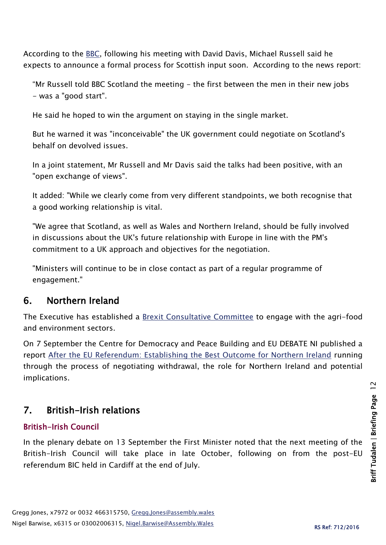According to the [BBC,](http://www.bbc.co.uk/news/uk-scotland-scotland-politics-37366162) following his meeting with David Davis, Michael Russell said he expects to announce a formal process for Scottish input soon. According to the news report:

"Mr Russell told BBC Scotland the meeting - the first between the men in their new jobs - was a "good start".

He said he hoped to win the argument on staying in the single market.

But he warned it was "inconceivable" the UK government could negotiate on Scotland's behalf on devolved issues.

In a joint statement, Mr Russell and Mr Davis said the talks had been positive, with an "open exchange of views".

It added: "While we clearly come from very different standpoints, we both recognise that a good working relationship is vital.

"We agree that Scotland, as well as Wales and Northern Ireland, should be fully involved in discussions about the UK's future relationship with Europe in line with the PM's commitment to a UK approach and objectives for the negotiation.

"Ministers will continue to be in close contact as part of a regular programme of engagement."

## 6. Northern Ireland

The Executive has established a [Brexit Consultative Committee](https://www.daera-ni.gov.uk/news/views-local-agri-food-and-environment-sectors-crucial-brexit-mcilveen-and-hamilton) to engage with the agri-food and environment sectors.

On 7 September the Centre for Democracy and Peace Building and EU DEBATE NI published a report [After the EU Referendum: Establishing the Best Outcome for Northern Ireland](https://blogs.qub.ac.uk/tensionatthefringes/2016/09/07/after-the-eu-referendum-establishing-the-best-outcome-for-northern-ireland/) running through the process of negotiating withdrawal, the role for Northern Ireland and potential implications.

## 7. British-Irish relations

#### British-Irish Council

In the plenary debate on 13 September the First Minister noted that the next meeting of the British-Irish Council will take place in late October, following on from the post-EU referendum BIC held in Cardiff at the end of July.